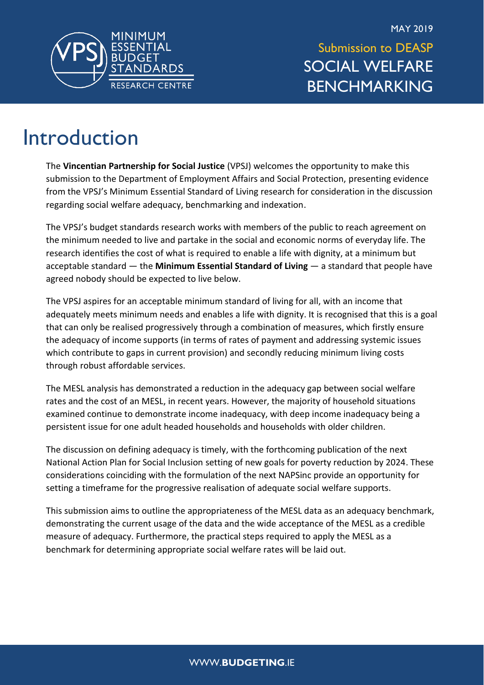

MAY 2019 Submission to DEASP SOCIAL WELFARE BENCHMARKING

### Introduction

The **Vincentian Partnership for Social Justice** (VPSJ) welcomes the opportunity to make this submission to the Department of Employment Affairs and Social Protection, presenting evidence from the VPSJ's Minimum Essential Standard of Living research for consideration in the discussion regarding social welfare adequacy, benchmarking and indexation.

The VPSJ's budget standards research works with members of the public to reach agreement on the minimum needed to live and partake in the social and economic norms of everyday life. The research identifies the cost of what is required to enable a life with dignity, at a minimum but acceptable standard — the **Minimum Essential Standard of Living** — a standard that people have agreed nobody should be expected to live below.

The VPSJ aspires for an acceptable minimum standard of living for all, with an income that adequately meets minimum needs and enables a life with dignity. It is recognised that this is a goal that can only be realised progressively through a combination of measures, which firstly ensure the adequacy of income supports (in terms of rates of payment and addressing systemic issues which contribute to gaps in current provision) and secondly reducing minimum living costs through robust affordable services.

The MESL analysis has demonstrated a reduction in the adequacy gap between social welfare rates and the cost of an MESL, in recent years. However, the majority of household situations examined continue to demonstrate income inadequacy, with deep income inadequacy being a persistent issue for one adult headed households and households with older children.

The discussion on defining adequacy is timely, with the forthcoming publication of the next National Action Plan for Social Inclusion setting of new goals for poverty reduction by 2024. These considerations coinciding with the formulation of the next NAPSinc provide an opportunity for setting a timeframe for the progressive realisation of adequate social welfare supports.

This submission aims to outline the appropriateness of the MESL data as an adequacy benchmark, demonstrating the current usage of the data and the wide acceptance of the MESL as a credible measure of adequacy. Furthermore, the practical steps required to apply the MESL as a benchmark for determining appropriate social welfare rates will be laid out.

#### WWW.**BUDGETING**.IE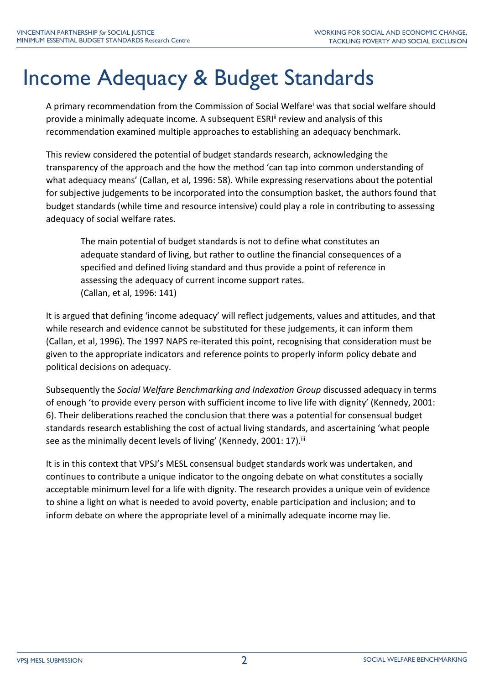# Income Adequacy & Budget Standards

A primary recommendation from the Commission of Social Welfare<sup>i</sup> was that social welfare should provide a minimally adequate income. A subsequent ESRI<sup>II</sup> review and analysis of this recommendation examined multiple approaches to establishing an adequacy benchmark.

This review considered the potential of budget standards research, acknowledging the transparency of the approach and the how the method 'can tap into common understanding of what adequacy means' (Callan, et al, 1996: 58). While expressing reservations about the potential for subjective judgements to be incorporated into the consumption basket, the authors found that budget standards (while time and resource intensive) could play a role in contributing to assessing adequacy of social welfare rates.

The main potential of budget standards is not to define what constitutes an adequate standard of living, but rather to outline the financial consequences of a specified and defined living standard and thus provide a point of reference in assessing the adequacy of current income support rates. (Callan, et al, 1996: 141)

It is argued that defining 'income adequacy' will reflect judgements, values and attitudes, and that while research and evidence cannot be substituted for these judgements, it can inform them (Callan, et al, 1996). The 1997 NAPS re-iterated this point, recognising that consideration must be given to the appropriate indicators and reference points to properly inform policy debate and political decisions on adequacy.

Subsequently the *Social Welfare Benchmarking and Indexation Group* discussed adequacy in terms of enough 'to provide every person with sufficient income to live life with dignity' (Kennedy, 2001: 6). Their deliberations reached the conclusion that there was a potential for consensual budget standards research establishing the cost of actual living standards, and ascertaining 'what people see as the minimally decent levels of living' (Kennedy, 2001: 17).<sup>iii</sup>

It is in this context that VPSJ's MESL consensual budget standards work was undertaken, and continues to contribute a unique indicator to the ongoing debate on what constitutes a socially acceptable minimum level for a life with dignity. The research provides a unique vein of evidence to shine a light on what is needed to avoid poverty, enable participation and inclusion; and to inform debate on where the appropriate level of a minimally adequate income may lie.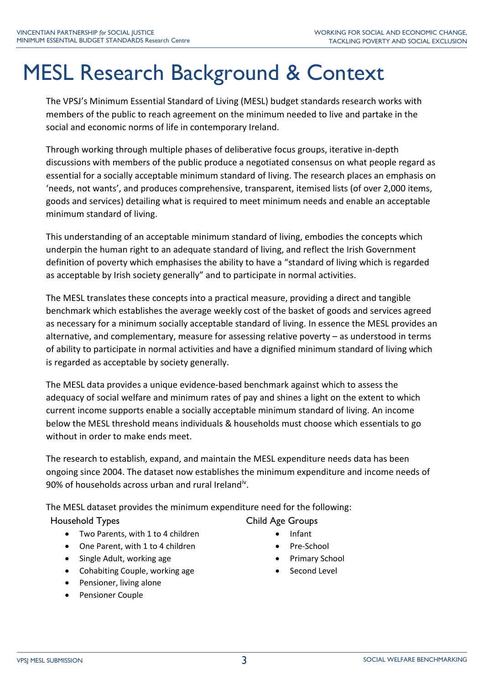# MESL Research Background & Context

The VPSJ's Minimum Essential Standard of Living (MESL) budget standards research works with members of the public to reach agreement on the minimum needed to live and partake in the social and economic norms of life in contemporary Ireland.

Through working through multiple phases of deliberative focus groups, iterative in-depth discussions with members of the public produce a negotiated consensus on what people regard as essential for a socially acceptable minimum standard of living. The research places an emphasis on 'needs, not wants', and produces comprehensive, transparent, itemised lists (of over 2,000 items, goods and services) detailing what is required to meet minimum needs and enable an acceptable minimum standard of living.

This understanding of an acceptable minimum standard of living, embodies the concepts which underpin the human right to an adequate standard of living, and reflect the Irish Government definition of poverty which emphasises the ability to have a "standard of living which is regarded as acceptable by Irish society generally" and to participate in normal activities.

The MESL translates these concepts into a practical measure, providing a direct and tangible benchmark which establishes the average weekly cost of the basket of goods and services agreed as necessary for a minimum socially acceptable standard of living. In essence the MESL provides an alternative, and complementary, measure for assessing relative poverty – as understood in terms of ability to participate in normal activities and have a dignified minimum standard of living which is regarded as acceptable by society generally.

The MESL data provides a unique evidence-based benchmark against which to assess the adequacy of social welfare and minimum rates of pay and shines a light on the extent to which current income supports enable a socially acceptable minimum standard of living. An income below the MESL threshold means individuals & households must choose which essentials to go without in order to make ends meet.

The research to establish, expand, and maintain the MESL expenditure needs data has been ongoing since 2004. The dataset now establishes the minimum expenditure and income needs of 90% of households across urban and rural Ireland<sup>iv</sup>.

The MESL dataset provides the minimum expenditure need for the following:

Household Types **Child Age Groups** 

- Two Parents, with 1 to 4 children
- One Parent, with 1 to 4 children
- Single Adult, working age
- Cohabiting Couple, working age
- Pensioner, living alone
- Pensioner Couple
- - Infant
	- Pre-School
	- Primary School
	- Second Level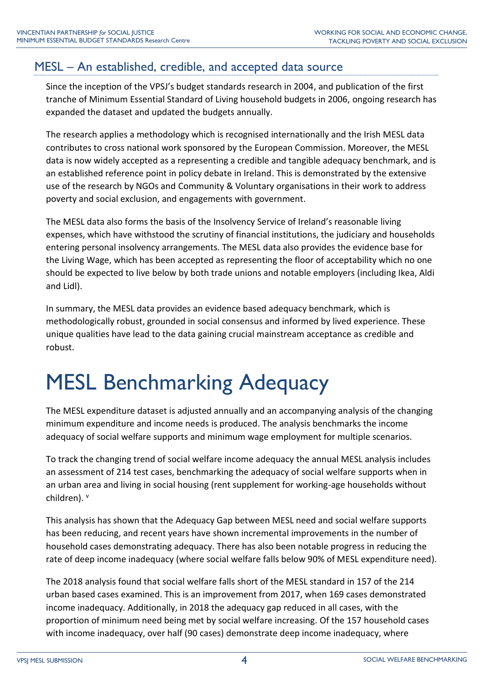### MESL – An established, credible, and accepted data source

Since the inception of the VPSJ's budget standards research in 2004, and publication of the first tranche of Minimum Essential Standard of Living household budgets in 2006, ongoing research has expanded the dataset and updated the budgets annually.

The research applies a methodology which is recognised internationally and the Irish MESL data contributes to cross national work sponsored by the European Commission. Moreover, the MESL data is now widely accepted as a representing a credible and tangible adequacy benchmark, and is an established reference point in policy debate in Ireland. This is demonstrated by the extensive use of the research by NGOs and Community & Voluntary organisations in their work to address poverty and social exclusion, and engagements with government.

The MESL data also forms the basis of the Insolvency Service of Ireland's reasonable living expenses, which have withstood the scrutiny of financial institutions, the judiciary and households entering personal insolvency arrangements. The MESL data also provides the evidence base for the Living Wage, which has been accepted as representing the floor of acceptability which no one should be expected to live below by both trade unions and notable employers (including Ikea, Aldi and Lidl).

In summary, the MESL data provides an evidence based adequacy benchmark, which is methodologically robust, grounded in social consensus and informed by lived experience. These unique qualities have lead to the data gaining crucial mainstream acceptance as credible and robust.

# MESL Benchmarking Adequacy

The MESL expenditure dataset is adjusted annually and an accompanying analysis of the changing minimum expenditure and income needs is produced. The analysis benchmarks the income adequacy of social welfare supports and minimum wage employment for multiple scenarios.

To track the changing trend of social welfare income adequacy the annual MESL analysis includes an assessment of 214 test cases, benchmarking the adequacy of social welfare supports when in an urban area and living in social housing (rent supplement for working-age households without children). v

This analysis has shown that the Adequacy Gap between MESL need and social welfare supports has been reducing, and recent years have shown incremental improvements in the number of household cases demonstrating adequacy. There has also been notable progress in reducing the rate of deep income inadequacy (where social welfare falls below 90% of MESL expenditure need).

The 2018 analysis found that social welfare falls short of the MESL standard in 157 of the 214 urban based cases examined. This is an improvement from 2017, when 169 cases demonstrated income inadequacy. Additionally, in 2018 the adequacy gap reduced in all cases, with the proportion of minimum need being met by social welfare increasing. Of the 157 household cases with income inadequacy, over half (90 cases) demonstrate deep income inadequacy, where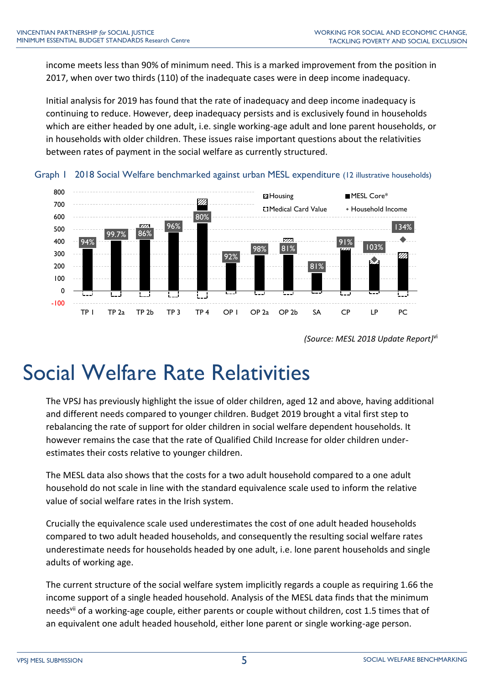income meets less than 90% of minimum need. This is a marked improvement from the position in 2017, when over two thirds (110) of the inadequate cases were in deep income inadequacy.

Initial analysis for 2019 has found that the rate of inadequacy and deep income inadequacy is continuing to reduce. However, deep inadequacy persists and is exclusively found in households which are either headed by one adult, i.e. single working-age adult and lone parent households, or in households with older children. These issues raise important questions about the relativities between rates of payment in the social welfare as currently structured.



Graph 1 2018 Social Welfare benchmarked against urban MESL expenditure (12 illustrative households)

## Social Welfare Rate Relativities

The VPSJ has previously highlight the issue of older children, aged 12 and above, having additional and different needs compared to younger children. Budget 2019 brought a vital first step to rebalancing the rate of support for older children in social welfare dependent households. It however remains the case that the rate of Qualified Child Increase for older children underestimates their costs relative to younger children.

The MESL data also shows that the costs for a two adult household compared to a one adult household do not scale in line with the standard equivalence scale used to inform the relative value of social welfare rates in the Irish system.

Crucially the equivalence scale used underestimates the cost of one adult headed households compared to two adult headed households, and consequently the resulting social welfare rates underestimate needs for households headed by one adult, i.e. lone parent households and single adults of working age.

The current structure of the social welfare system implicitly regards a couple as requiring 1.66 the income support of a single headed household. Analysis of the MESL data finds that the minimum needs<sup>vii</sup> of a working-age couple, either parents or couple without children, cost 1.5 times that of an equivalent one adult headed household, either lone parent or single working-age person.

*<sup>(</sup>Source: MESL 2018 Update Report)* vi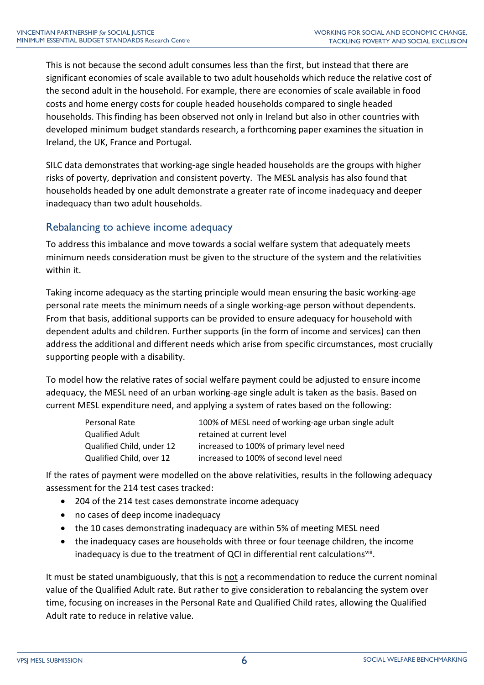This is not because the second adult consumes less than the first, but instead that there are significant economies of scale available to two adult households which reduce the relative cost of the second adult in the household. For example, there are economies of scale available in food costs and home energy costs for couple headed households compared to single headed households. This finding has been observed not only in Ireland but also in other countries with developed minimum budget standards research, a forthcoming paper examines the situation in Ireland, the UK, France and Portugal.

SILC data demonstrates that working-age single headed households are the groups with higher risks of poverty, deprivation and consistent poverty. The MESL analysis has also found that households headed by one adult demonstrate a greater rate of income inadequacy and deeper inadequacy than two adult households.

#### Rebalancing to achieve income adequacy

To address this imbalance and move towards a social welfare system that adequately meets minimum needs consideration must be given to the structure of the system and the relativities within it.

Taking income adequacy as the starting principle would mean ensuring the basic working-age personal rate meets the minimum needs of a single working-age person without dependents. From that basis, additional supports can be provided to ensure adequacy for household with dependent adults and children. Further supports (in the form of income and services) can then address the additional and different needs which arise from specific circumstances, most crucially supporting people with a disability.

To model how the relative rates of social welfare payment could be adjusted to ensure income adequacy, the MESL need of an urban working-age single adult is taken as the basis. Based on current MESL expenditure need, and applying a system of rates based on the following:

| Personal Rate             | 100% of MESL need of working-age urban single adult |
|---------------------------|-----------------------------------------------------|
| Qualified Adult           | retained at current level                           |
| Qualified Child, under 12 | increased to 100% of primary level need             |
| Qualified Child, over 12  | increased to 100% of second level need              |

If the rates of payment were modelled on the above relativities, results in the following adequacy assessment for the 214 test cases tracked:

- 204 of the 214 test cases demonstrate income adequacy
- no cases of deep income inadequacy
- the 10 cases demonstrating inadequacy are within 5% of meeting MESL need
- the inadequacy cases are households with three or four teenage children, the income inadequacy is due to the treatment of QCI in differential rent calculationsviii.

It must be stated unambiguously, that this is not a recommendation to reduce the current nominal value of the Qualified Adult rate. But rather to give consideration to rebalancing the system over time, focusing on increases in the Personal Rate and Qualified Child rates, allowing the Qualified Adult rate to reduce in relative value.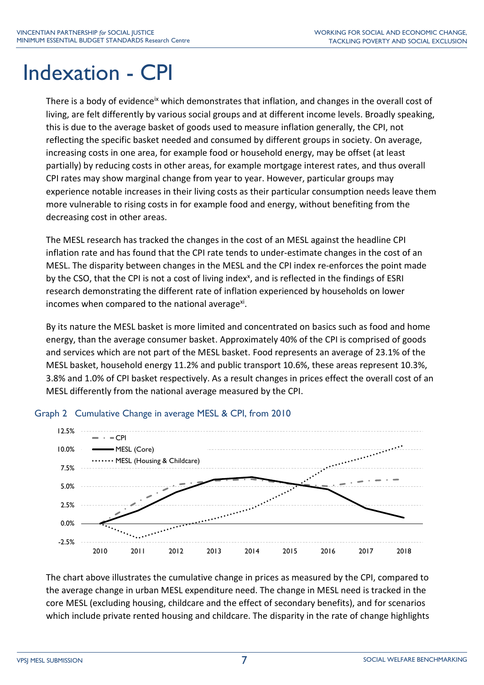## Indexation - CPI

There is a body of evidence<sup>ix</sup> which demonstrates that inflation, and changes in the overall cost of living, are felt differently by various social groups and at different income levels. Broadly speaking, this is due to the average basket of goods used to measure inflation generally, the CPI, not reflecting the specific basket needed and consumed by different groups in society. On average, increasing costs in one area, for example food or household energy, may be offset (at least partially) by reducing costs in other areas, for example mortgage interest rates, and thus overall CPI rates may show marginal change from year to year. However, particular groups may experience notable increases in their living costs as their particular consumption needs leave them more vulnerable to rising costs in for example food and energy, without benefiting from the decreasing cost in other areas.

The MESL research has tracked the changes in the cost of an MESL against the headline CPI inflation rate and has found that the CPI rate tends to under-estimate changes in the cost of an MESL. The disparity between changes in the MESL and the CPI index re-enforces the point made by the CSO, that the CPI is not a cost of living index<sup>x</sup>, and is reflected in the findings of ESRI research demonstrating the different rate of inflation experienced by households on lower incomes when compared to the national average<sup>xi</sup>.

By its nature the MESL basket is more limited and concentrated on basics such as food and home energy, than the average consumer basket. Approximately 40% of the CPI is comprised of goods and services which are not part of the MESL basket. Food represents an average of 23.1% of the MESL basket, household energy 11.2% and public transport 10.6%, these areas represent 10.3%, 3.8% and 1.0% of CPI basket respectively. As a result changes in prices effect the overall cost of an MESL differently from the national average measured by the CPI.



#### Graph 2 Cumulative Change in average MESL & CPI, from 2010

The chart above illustrates the cumulative change in prices as measured by the CPI, compared to the average change in urban MESL expenditure need. The change in MESL need is tracked in the core MESL (excluding housing, childcare and the effect of secondary benefits), and for scenarios which include private rented housing and childcare. The disparity in the rate of change highlights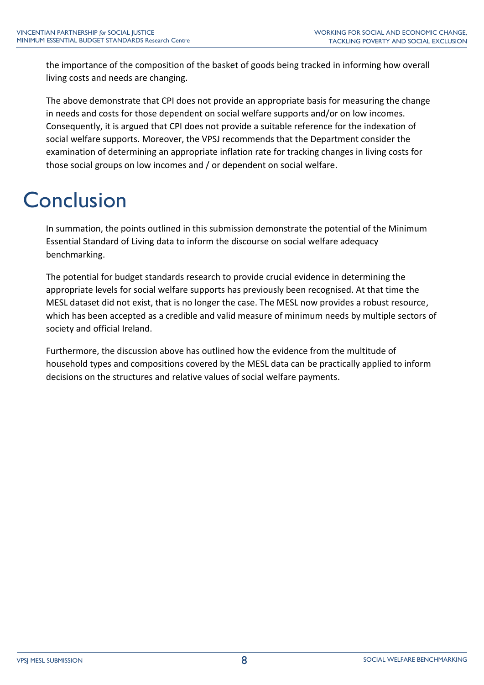the importance of the composition of the basket of goods being tracked in informing how overall living costs and needs are changing.

The above demonstrate that CPI does not provide an appropriate basis for measuring the change in needs and costs for those dependent on social welfare supports and/or on low incomes. Consequently, it is argued that CPI does not provide a suitable reference for the indexation of social welfare supports. Moreover, the VPSJ recommends that the Department consider the examination of determining an appropriate inflation rate for tracking changes in living costs for those social groups on low incomes and / or dependent on social welfare.

# **Conclusion**

In summation, the points outlined in this submission demonstrate the potential of the Minimum Essential Standard of Living data to inform the discourse on social welfare adequacy benchmarking.

The potential for budget standards research to provide crucial evidence in determining the appropriate levels for social welfare supports has previously been recognised. At that time the MESL dataset did not exist, that is no longer the case. The MESL now provides a robust resource, which has been accepted as a credible and valid measure of minimum needs by multiple sectors of society and official Ireland.

Furthermore, the discussion above has outlined how the evidence from the multitude of household types and compositions covered by the MESL data can be practically applied to inform decisions on the structures and relative values of social welfare payments.